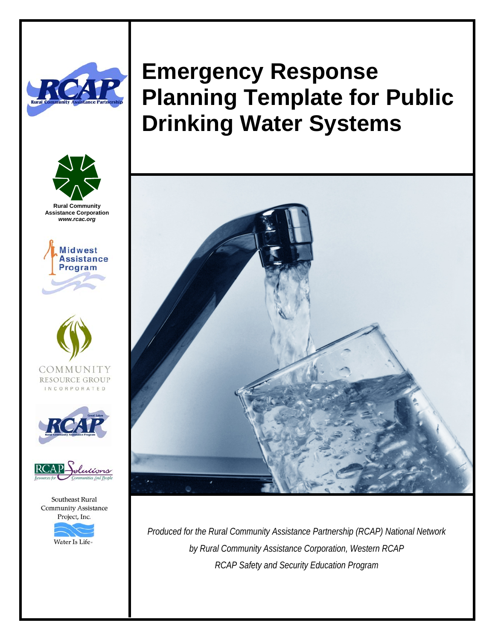



**Rural Community Assistance Corporation**  *www.rcac.org* 









Southeast Rural **Community Assistance** Project, Inc.



# **Emergency Response Planning Template for Public Drinking Water Systems**



*Produced for the Rural Community Assistance Partnership (RCAP) National Network by Rural Community Assistance Corporation, Western RCAP RCAP Safety and Security Education Program*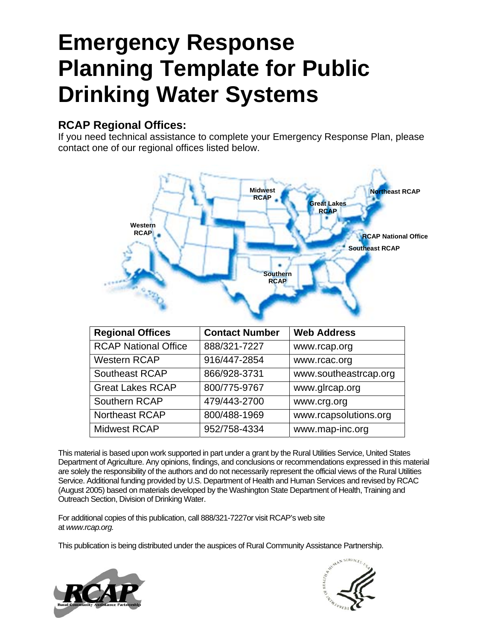# **Emergency Response Planning Template for Public Drinking Water Systems**

#### **RCAP Regional Offices:**

If you need technical assistance to complete your Emergency Response Plan, please contact one of our regional offices listed below.



| <b>Regional Offices</b>     | <b>Contact Number</b> | <b>Web Address</b>    |
|-----------------------------|-----------------------|-----------------------|
| <b>RCAP National Office</b> | 888/321-7227          | www.rcap.org          |
| <b>Western RCAP</b>         | 916/447-2854          | www.rcac.org          |
| Southeast RCAP              | 866/928-3731          | www.southeastrcap.org |
| <b>Great Lakes RCAP</b>     | 800/775-9767          | www.glrcap.org        |
| Southern RCAP               | 479/443-2700          | www.crg.org           |
| <b>Northeast RCAP</b>       | 800/488-1969          | www.rcapsolutions.org |
| <b>Midwest RCAP</b>         | 952/758-4334          | www.map-inc.org       |

This material is based upon work supported in part under a grant by the Rural Utilities Service, United States Department of Agriculture. Any opinions, findings, and conclusions or recommendations expressed in this material are solely the responsibility of the authors and do not necessarily represent the official views of the Rural Utilities Service. Additional funding provided by U.S. Department of Health and Human Services and revised by RCAC (August 2005) based on materials developed by the Washington State Department of Health, Training and Outreach Section, Division of Drinking Water.

For additional copies of this publication, call 888/321-7227or visit RCAP's web site at *www.rcap.org.*

This publication is being distributed under the auspices of Rural Community Assistance Partnership.



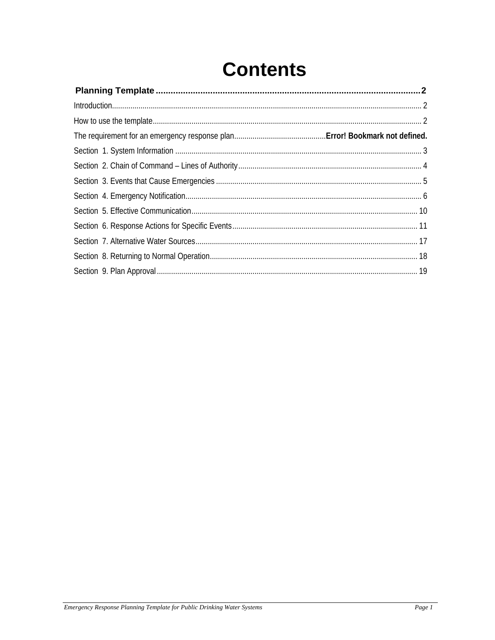# **Contents**

| Introduction 2 |  |
|----------------|--|
|                |  |
|                |  |
|                |  |
|                |  |
|                |  |
|                |  |
|                |  |
|                |  |
|                |  |
|                |  |
|                |  |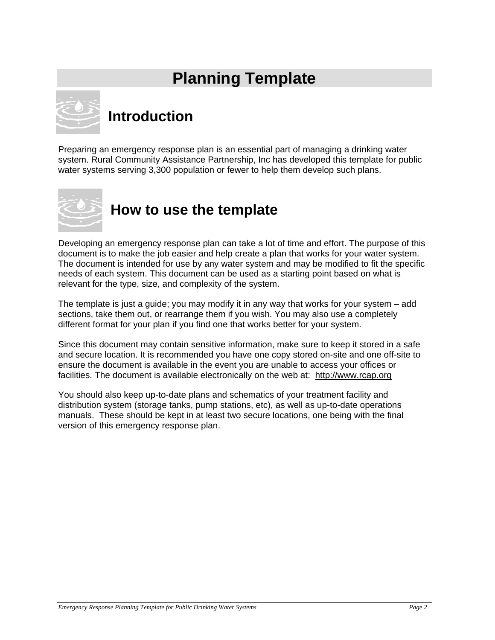# **Planning Template**



## **Introduction**

Preparing an emergency response plan is an essential part of managing a drinking water system. Rural Community Assistance Partnership, Inc has developed this template for public water systems serving 3,300 population or fewer to help them develop such plans.



## **How to use the template**

Developing an emergency response plan can take a lot of time and effort. The purpose of this document is to make the job easier and help create a plan that works for your water system. The document is intended for use by any water system and may be modified to fit the specific needs of each system. This document can be used as a starting point based on what is relevant for the type, size, and complexity of the system.

The template is just a guide; you may modify it in any way that works for your system – add sections, take them out, or rearrange them if you wish. You may also use a completely different format for your plan if you find one that works better for your system.

Since this document may contain sensitive information, make sure to keep it stored in a safe and secure location. It is recommended you have one copy stored on-site and one off-site to ensure the document is available in the event you are unable to access your offices or facilities. The document is available electronically on the web at: http://www.rcap.org

You should also keep up-to-date plans and schematics of your treatment facility and distribution system (storage tanks, pump stations, etc), as well as up-to-date operations manuals. These should be kept in at least two secure locations, one being with the final version of this emergency response plan.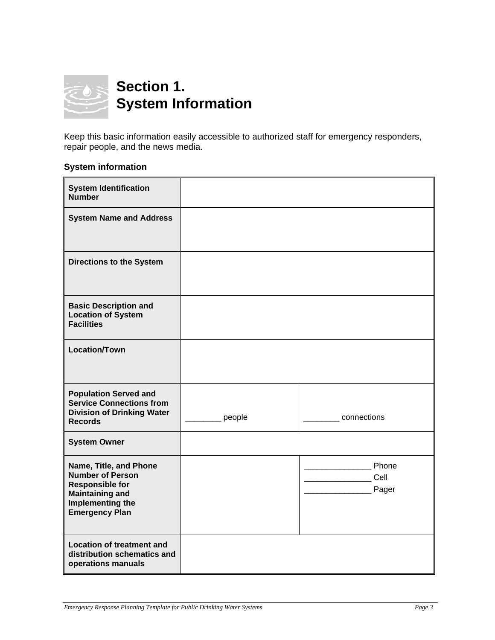

Keep this basic information easily accessible to authorized staff for emergency responders, repair people, and the news media.

#### **System information**

| <b>System Identification</b><br><b>Number</b>                                                                                                      |        |                        |
|----------------------------------------------------------------------------------------------------------------------------------------------------|--------|------------------------|
| <b>System Name and Address</b>                                                                                                                     |        |                        |
| <b>Directions to the System</b>                                                                                                                    |        |                        |
| <b>Basic Description and</b><br><b>Location of System</b><br><b>Facilities</b>                                                                     |        |                        |
| <b>Location/Town</b>                                                                                                                               |        |                        |
| <b>Population Served and</b><br><b>Service Connections from</b><br><b>Division of Drinking Water</b><br><b>Records</b>                             | people | connections            |
| <b>System Owner</b>                                                                                                                                |        |                        |
| Name, Title, and Phone<br><b>Number of Person</b><br><b>Responsible for</b><br><b>Maintaining and</b><br>Implementing the<br><b>Emergency Plan</b> |        | Phone<br>Cell<br>Pager |
| <b>Location of treatment and</b><br>distribution schematics and<br>operations manuals                                                              |        |                        |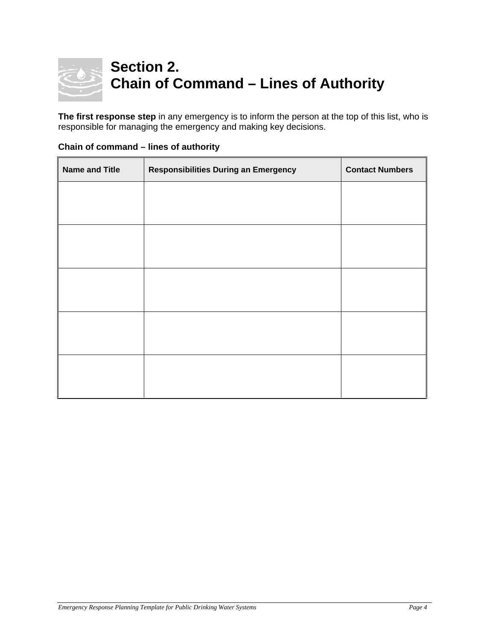

**The first response step** in any emergency is to inform the person at the top of this list, who is responsible for managing the emergency and making key decisions.

| <b>Name and Title</b> | <b>Responsibilities During an Emergency</b> | <b>Contact Numbers</b> |
|-----------------------|---------------------------------------------|------------------------|
|                       |                                             |                        |
|                       |                                             |                        |
|                       |                                             |                        |
|                       |                                             |                        |
|                       |                                             |                        |
|                       |                                             |                        |
|                       |                                             |                        |
|                       |                                             |                        |
|                       |                                             |                        |
|                       |                                             |                        |

#### **Chain of command – lines of authority**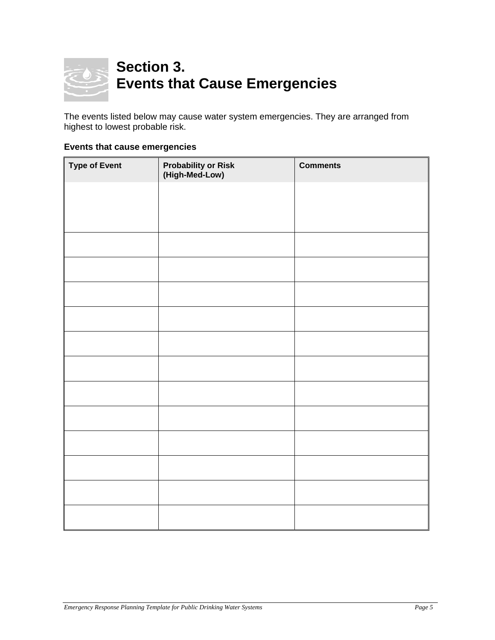

The events listed below may cause water system emergencies. They are arranged from highest to lowest probable risk.

#### **Events that cause emergencies**

| <b>Type of Event</b> | <b>Probability or Risk</b><br>(High-Med-Low) | <b>Comments</b> |
|----------------------|----------------------------------------------|-----------------|
|                      |                                              |                 |
|                      |                                              |                 |
|                      |                                              |                 |
|                      |                                              |                 |
|                      |                                              |                 |
|                      |                                              |                 |
|                      |                                              |                 |
|                      |                                              |                 |
|                      |                                              |                 |
|                      |                                              |                 |
|                      |                                              |                 |
|                      |                                              |                 |
|                      |                                              |                 |
|                      |                                              |                 |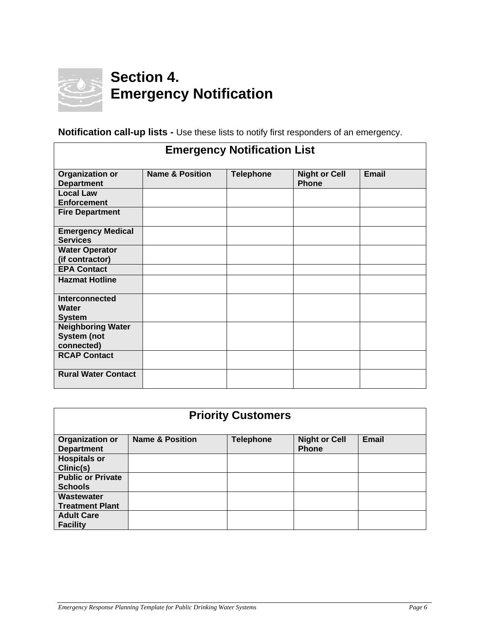

### **Section 4. Emergency Notification**

| <b>Emergency Notification List</b>                           |                            |                  |                                      |              |
|--------------------------------------------------------------|----------------------------|------------------|--------------------------------------|--------------|
| Organization or<br><b>Department</b>                         | <b>Name &amp; Position</b> | <b>Telephone</b> | <b>Night or Cell</b><br><b>Phone</b> | <b>Email</b> |
| <b>Local Law</b><br><b>Enforcement</b>                       |                            |                  |                                      |              |
| <b>Fire Department</b>                                       |                            |                  |                                      |              |
| <b>Emergency Medical</b><br><b>Services</b>                  |                            |                  |                                      |              |
| <b>Water Operator</b><br>(if contractor)                     |                            |                  |                                      |              |
| <b>EPA Contact</b><br><b>Hazmat Hotline</b>                  |                            |                  |                                      |              |
|                                                              |                            |                  |                                      |              |
| <b>Interconnected</b><br>Water<br><b>System</b>              |                            |                  |                                      |              |
| <b>Neighboring Water</b><br><b>System (not</b><br>connected) |                            |                  |                                      |              |
| <b>RCAP Contact</b>                                          |                            |                  |                                      |              |
| <b>Rural Water Contact</b>                                   |                            |                  |                                      |              |

**Notification call-up lists -** Use these lists to notify first responders of an emergency.

|                                            |                            | <b>Priority Customers</b> |                                      |              |
|--------------------------------------------|----------------------------|---------------------------|--------------------------------------|--------------|
| Organization or<br><b>Department</b>       | <b>Name &amp; Position</b> | <b>Telephone</b>          | <b>Night or Cell</b><br><b>Phone</b> | <b>Email</b> |
| <b>Hospitals or</b><br>Clinic(s)           |                            |                           |                                      |              |
| <b>Public or Private</b><br><b>Schools</b> |                            |                           |                                      |              |
| Wastewater<br><b>Treatment Plant</b>       |                            |                           |                                      |              |
| <b>Adult Care</b><br><b>Facility</b>       |                            |                           |                                      |              |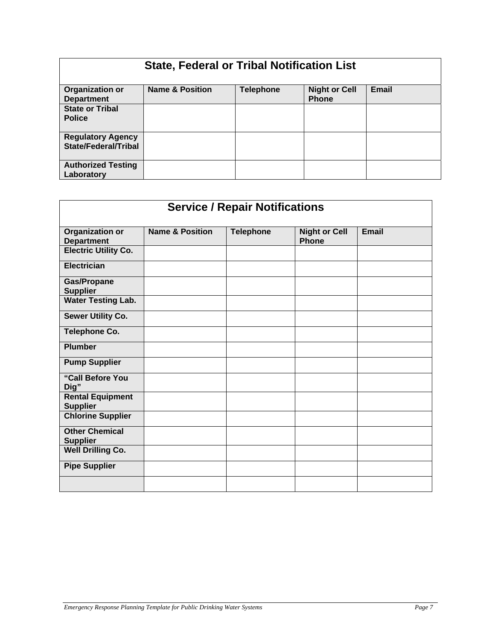| <b>State, Federal or Tribal Notification List</b>       |                            |                  |                                      |       |
|---------------------------------------------------------|----------------------------|------------------|--------------------------------------|-------|
| Organization or<br><b>Department</b>                    | <b>Name &amp; Position</b> | <b>Telephone</b> | <b>Night or Cell</b><br><b>Phone</b> | Email |
| <b>State or Tribal</b><br><b>Police</b>                 |                            |                  |                                      |       |
| <b>Regulatory Agency</b><br><b>State/Federal/Tribal</b> |                            |                  |                                      |       |
| <b>Authorized Testing</b><br>Laboratory                 |                            |                  |                                      |       |

| <b>Service / Repair Notifications</b>       |                            |                  |                                      |              |
|---------------------------------------------|----------------------------|------------------|--------------------------------------|--------------|
| <b>Organization or</b><br><b>Department</b> | <b>Name &amp; Position</b> | <b>Telephone</b> | <b>Night or Cell</b><br><b>Phone</b> | <b>Email</b> |
| <b>Electric Utility Co.</b>                 |                            |                  |                                      |              |
| <b>Electrician</b>                          |                            |                  |                                      |              |
| <b>Gas/Propane</b><br><b>Supplier</b>       |                            |                  |                                      |              |
| <b>Water Testing Lab.</b>                   |                            |                  |                                      |              |
| <b>Sewer Utility Co.</b>                    |                            |                  |                                      |              |
| <b>Telephone Co.</b>                        |                            |                  |                                      |              |
| <b>Plumber</b>                              |                            |                  |                                      |              |
| <b>Pump Supplier</b>                        |                            |                  |                                      |              |
| "Call Before You<br>Dig"                    |                            |                  |                                      |              |
| <b>Rental Equipment</b><br><b>Supplier</b>  |                            |                  |                                      |              |
| <b>Chlorine Supplier</b>                    |                            |                  |                                      |              |
| <b>Other Chemical</b><br><b>Supplier</b>    |                            |                  |                                      |              |
| <b>Well Drilling Co.</b>                    |                            |                  |                                      |              |
| <b>Pipe Supplier</b>                        |                            |                  |                                      |              |
|                                             |                            |                  |                                      |              |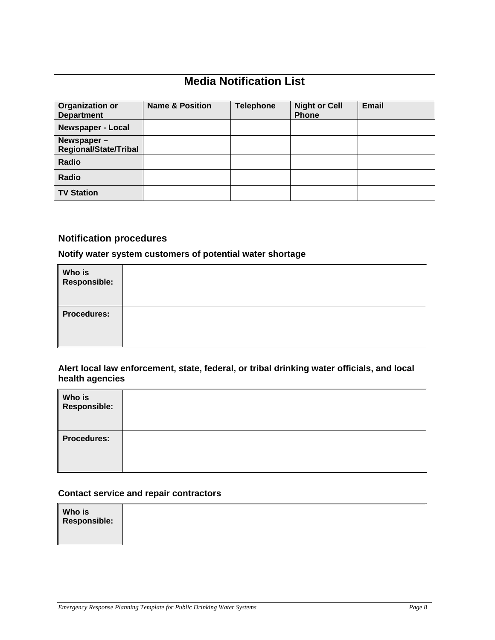| <b>Media Notification List</b>              |                            |                  |                                      |              |
|---------------------------------------------|----------------------------|------------------|--------------------------------------|--------------|
| Organization or<br><b>Department</b>        | <b>Name &amp; Position</b> | <b>Telephone</b> | <b>Night or Cell</b><br><b>Phone</b> | <b>Email</b> |
| <b>Newspaper - Local</b>                    |                            |                  |                                      |              |
| Newspaper -<br><b>Regional/State/Tribal</b> |                            |                  |                                      |              |
| Radio                                       |                            |                  |                                      |              |
| Radio                                       |                            |                  |                                      |              |
| <b>TV Station</b>                           |                            |                  |                                      |              |

#### **Notification procedures**

#### **Notify water system customers of potential water shortage**

| Who is<br>Responsible: |  |
|------------------------|--|
| <b>Procedures:</b>     |  |

#### **Alert local law enforcement, state, federal, or tribal drinking water officials, and local health agencies**

| Who is<br>Responsible: |  |
|------------------------|--|
| <b>Procedures:</b>     |  |

#### **Contact service and repair contractors**

| <b>Who is</b><br>Responsible: |  |  |
|-------------------------------|--|--|
|-------------------------------|--|--|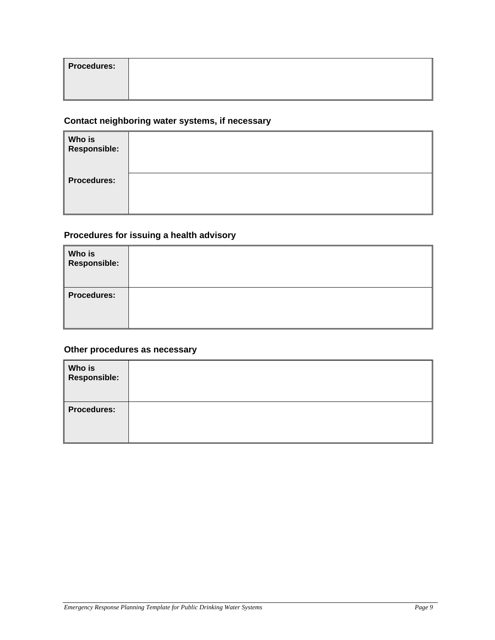| <b>Procedures:</b> |  |
|--------------------|--|
|                    |  |

#### **Contact neighboring water systems, if necessary**

| Who is<br>Responsible: |  |
|------------------------|--|
| <b>Procedures:</b>     |  |

#### **Procedures for issuing a health advisory**

| Who is<br>Responsible: |  |
|------------------------|--|
| <b>Procedures:</b>     |  |

#### **Other procedures as necessary**

| Who is<br>  Responsible: |  |
|--------------------------|--|
| <b>Procedures:</b>       |  |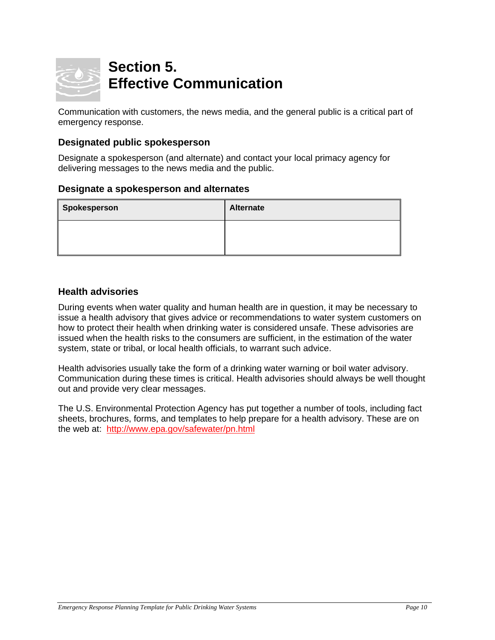

### **Section 5. Effective Communication**

Communication with customers, the news media, and the general public is a critical part of emergency response.

#### **Designated public spokesperson**

Designate a spokesperson (and alternate) and contact your local primacy agency for delivering messages to the news media and the public.

#### **Designate a spokesperson and alternates**

| Alternate |
|-----------|
|           |
|           |

#### **Health advisories**

During events when water quality and human health are in question, it may be necessary to issue a health advisory that gives advice or recommendations to water system customers on how to protect their health when drinking water is considered unsafe. These advisories are issued when the health risks to the consumers are sufficient, in the estimation of the water system, state or tribal, or local health officials, to warrant such advice.

Health advisories usually take the form of a drinking water warning or boil water advisory. Communication during these times is critical. Health advisories should always be well thought out and provide very clear messages.

The U.S. Environmental Protection Agency has put together a number of tools, including fact sheets, brochures, forms, and templates to help prepare for a health advisory. These are on the web at: http://www.epa.gov/safewater/pn.html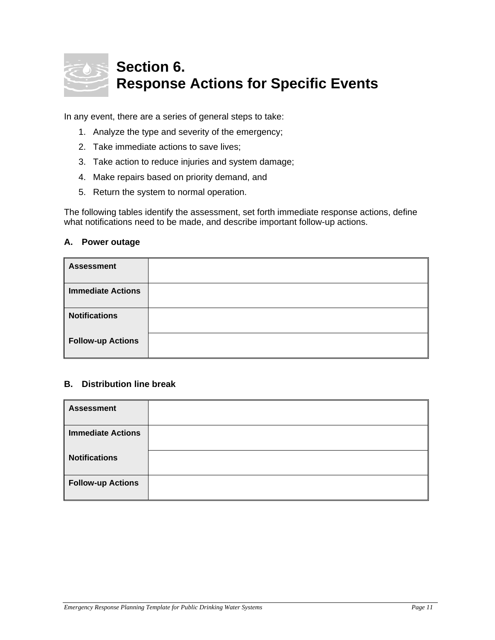

### **Section 6. Response Actions for Specific Events**

In any event, there are a series of general steps to take:

- 1. Analyze the type and severity of the emergency;
- 2. Take immediate actions to save lives;
- 3. Take action to reduce injuries and system damage;
- 4. Make repairs based on priority demand, and
- 5. Return the system to normal operation.

The following tables identify the assessment, set forth immediate response actions, define what notifications need to be made, and describe important follow-up actions.

#### **A. Power outage**

| <b>Assessment</b>        |  |
|--------------------------|--|
| <b>Immediate Actions</b> |  |
| <b>Notifications</b>     |  |
| <b>Follow-up Actions</b> |  |

#### **B. Distribution line break**

| <b>Assessment</b>        |  |
|--------------------------|--|
| <b>Immediate Actions</b> |  |
| <b>Notifications</b>     |  |
| <b>Follow-up Actions</b> |  |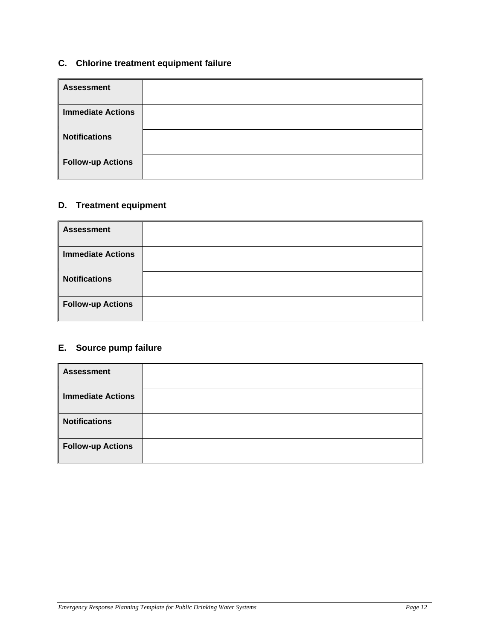#### **C. Chlorine treatment equipment failure**

| <b>Assessment</b>        |  |
|--------------------------|--|
| <b>Immediate Actions</b> |  |
| <b>Notifications</b>     |  |
| <b>Follow-up Actions</b> |  |

#### **D. Treatment equipment**

| <b>Assessment</b>        |  |
|--------------------------|--|
| <b>Immediate Actions</b> |  |
| <b>Notifications</b>     |  |
| <b>Follow-up Actions</b> |  |

#### **E. Source pump failure**

| <b>Assessment</b>        |  |
|--------------------------|--|
| <b>Immediate Actions</b> |  |
| <b>Notifications</b>     |  |
| <b>Follow-up Actions</b> |  |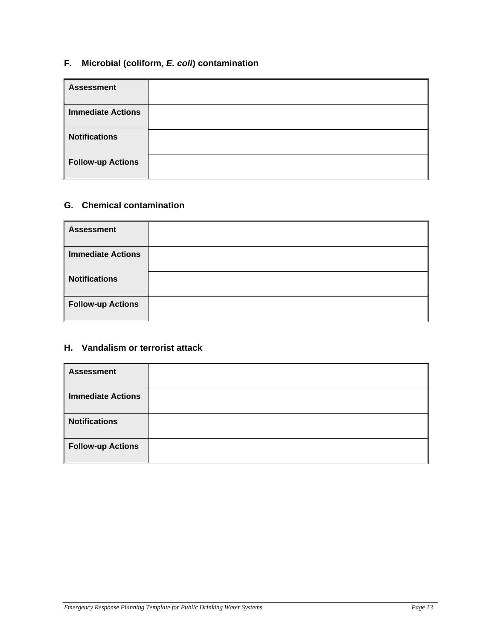#### **F. Microbial (coliform,** *E. coli***) contamination**

| <b>Assessment</b>        |  |
|--------------------------|--|
| <b>Immediate Actions</b> |  |
| <b>Notifications</b>     |  |
| <b>Follow-up Actions</b> |  |

#### **G. Chemical contamination**

| <b>Assessment</b>        |  |
|--------------------------|--|
| <b>Immediate Actions</b> |  |
| <b>Notifications</b>     |  |
| <b>Follow-up Actions</b> |  |

#### **H. Vandalism or terrorist attack**

| <b>Assessment</b>        |  |
|--------------------------|--|
| <b>Immediate Actions</b> |  |
| <b>Notifications</b>     |  |
| <b>Follow-up Actions</b> |  |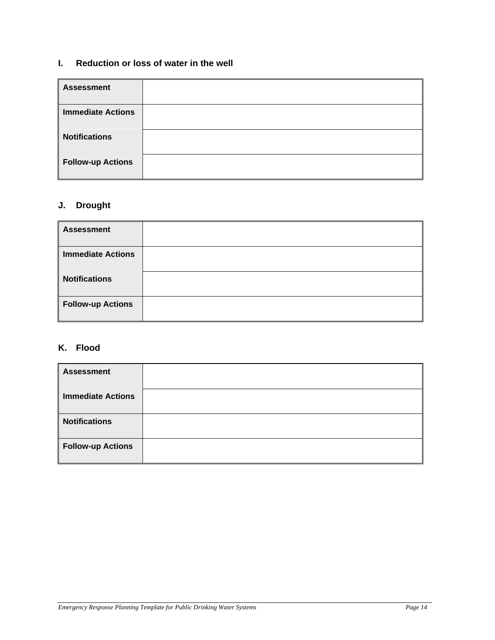#### **I. Reduction or loss of water in the well**

| <b>Assessment</b>        |  |
|--------------------------|--|
| <b>Immediate Actions</b> |  |
| <b>Notifications</b>     |  |
| <b>Follow-up Actions</b> |  |

#### **J. Drought**

| <b>Assessment</b>        |  |
|--------------------------|--|
| <b>Immediate Actions</b> |  |
| <b>Notifications</b>     |  |
| <b>Follow-up Actions</b> |  |

#### **K. Flood**

| <b>Assessment</b>        |  |
|--------------------------|--|
| <b>Immediate Actions</b> |  |
| <b>Notifications</b>     |  |
| <b>Follow-up Actions</b> |  |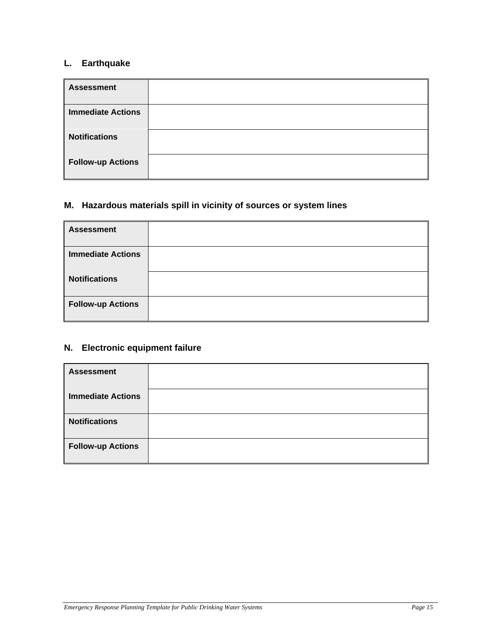#### **L. Earthquake**

| <b>Assessment</b>        |  |
|--------------------------|--|
| <b>Immediate Actions</b> |  |
| <b>Notifications</b>     |  |
| <b>Follow-up Actions</b> |  |

#### **M. Hazardous materials spill in vicinity of sources or system lines**

| <b>Assessment</b>        |  |
|--------------------------|--|
| <b>Immediate Actions</b> |  |
| <b>Notifications</b>     |  |
| <b>Follow-up Actions</b> |  |

#### **N. Electronic equipment failure**

| <b>Assessment</b>        |  |
|--------------------------|--|
| <b>Immediate Actions</b> |  |
| <b>Notifications</b>     |  |
| <b>Follow-up Actions</b> |  |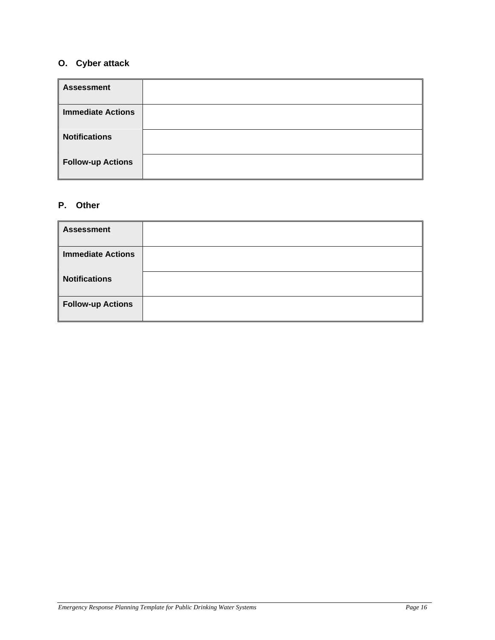#### **O. Cyber attack**

| <b>Assessment</b>        |  |
|--------------------------|--|
| <b>Immediate Actions</b> |  |
| <b>Notifications</b>     |  |
| <b>Follow-up Actions</b> |  |

#### **P. Other**

| <b>Assessment</b>        |  |
|--------------------------|--|
| <b>Immediate Actions</b> |  |
| <b>Notifications</b>     |  |
| <b>Follow-up Actions</b> |  |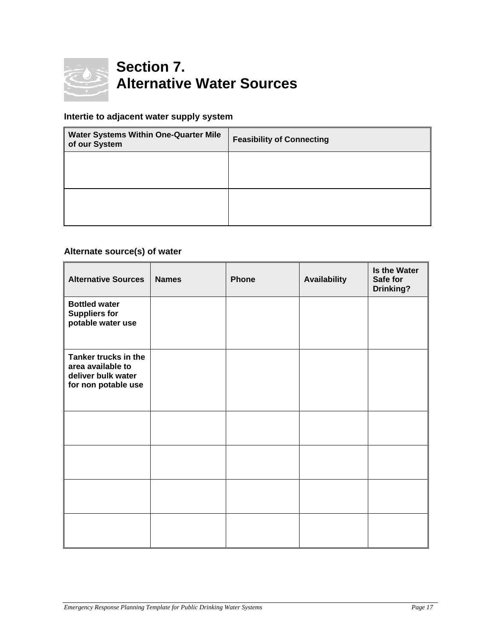

### **Section 7. Alternative Water Sources**

#### **Intertie to adjacent water supply system**

| Water Systems Within One-Quarter Mile<br>of our System | <b>Feasibility of Connecting</b> |
|--------------------------------------------------------|----------------------------------|
|                                                        |                                  |
|                                                        |                                  |
|                                                        |                                  |

#### **Alternate source(s) of water**

| <b>Alternative Sources</b>                                                             | <b>Names</b> | <b>Phone</b> | <b>Availability</b> | <b>Is the Water</b><br>Safe for<br><b>Drinking?</b> |
|----------------------------------------------------------------------------------------|--------------|--------------|---------------------|-----------------------------------------------------|
| <b>Bottled water</b><br><b>Suppliers for</b><br>potable water use                      |              |              |                     |                                                     |
| Tanker trucks in the<br>area available to<br>deliver bulk water<br>for non potable use |              |              |                     |                                                     |
|                                                                                        |              |              |                     |                                                     |
|                                                                                        |              |              |                     |                                                     |
|                                                                                        |              |              |                     |                                                     |
|                                                                                        |              |              |                     |                                                     |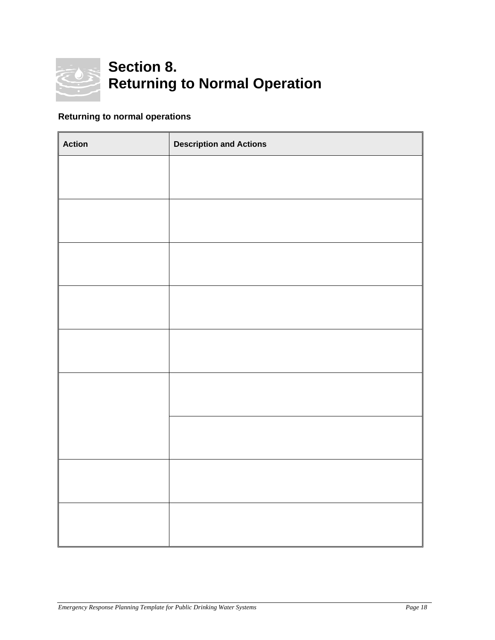

## **Section 8. Returning to Normal Operation**

#### **Returning to normal operations**

| <b>Action</b> | <b>Description and Actions</b> |
|---------------|--------------------------------|
|               |                                |
|               |                                |
|               |                                |
|               |                                |
|               |                                |
|               |                                |
|               |                                |
|               |                                |
|               |                                |
|               |                                |
|               |                                |
|               |                                |
|               |                                |
|               |                                |
|               |                                |
|               |                                |
|               |                                |
|               |                                |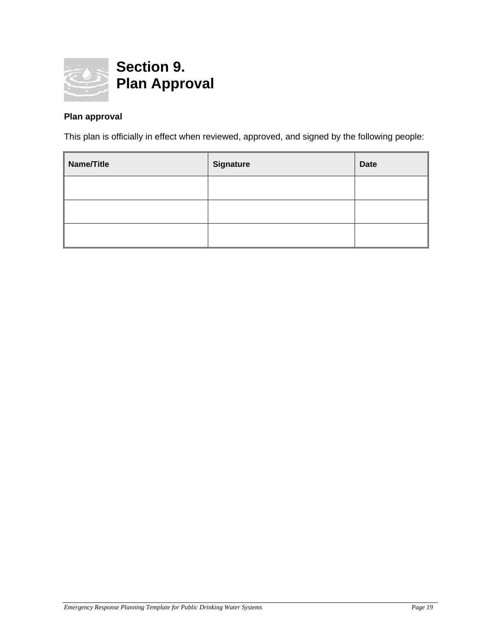

#### **Plan approval**

This plan is officially in effect when reviewed, approved, and signed by the following people:

| Name/Title | <b>Signature</b> | <b>Date</b> |
|------------|------------------|-------------|
|            |                  |             |
|            |                  |             |
|            |                  |             |